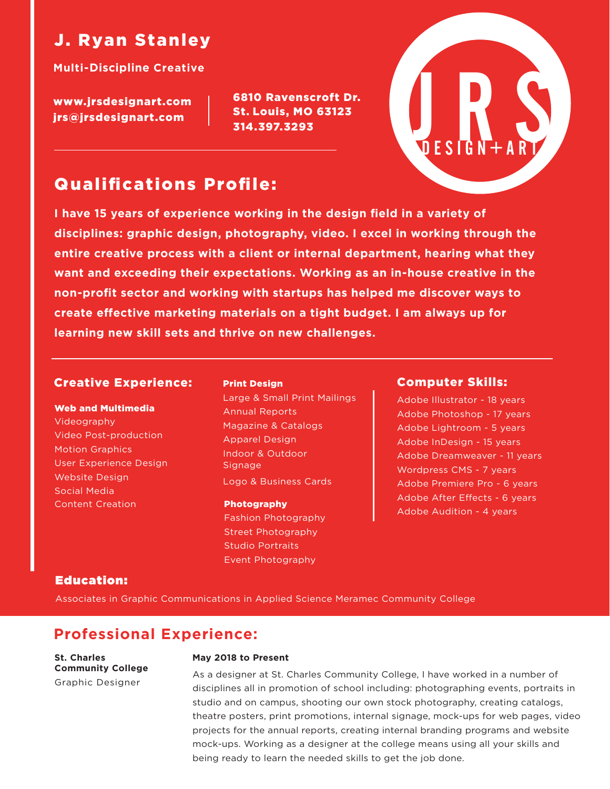# J. Ryan Stanley

**Multi-Discipline Creative**

www.jrsdesignart.com jrs@jrsdesignart.com

6810 Ravenscroft Dr. St. Louis, MO 63123 314.397.3293



**I have 15 years of experience working in the design field in a variety of disciplines: graphic design, photography, video. I excel in working through the entire creative process with a client or internal department, hearing what they want and exceeding their expectations. Working as an in-house creative in the non-profit sector and working with startups has helped me discover ways to**  create effective marketing materials on a tight budget. I am always up for **learning new skill sets and thrive on new challenges.**

## Creative Experience:

#### Web and Multimedia

Videography Video Post-production Motion Graphics User Experience Design Website Design Social Media Content Creation

#### Print Design

Large & Small Print Mailings Annual Reports Magazine & Catalogs Apparel Design Indoor & Outdoor Signage Logo & Business Cards

#### Photography

Fashion Photography Street Photography Studio Portraits Event Photography

### Computer Skills:

Adobe Illustrator - 18 years Adobe Photoshop - 17 years Adobe Lightroom - 5 years Adobe InDesign - 15 years Adobe Dreamweaver - 11 years Wordpress CMS - 7 years Adobe Premiere Pro - 6 years Adobe After Effects - 6 years Adobe Audition - 4 years

## Education:

Associates in Graphic Communications in Applied Science Meramec Community College

## **Professional Experience:**

**St. Charles Community College** Graphic Designer

#### **May 2018 to Present**

As a designer at St. Charles Community College, I have worked in a number of disciplines all in promotion of school including: photographing events, portraits in studio and on campus, shooting our own stock photography, creating catalogs, theatre posters, print promotions, internal signage, mock-ups for web pages, video projects for the annual reports, creating internal branding programs and website mock-ups. Working as a designer at the college means using all your skills and being ready to learn the needed skills to get the job done.